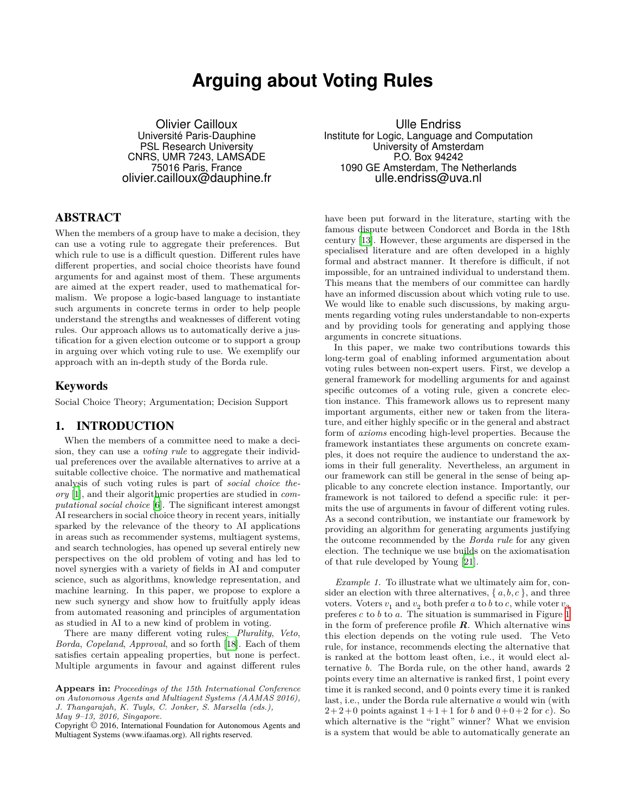# **Arguing about Voting Rules**

Olivier Cailloux Université Paris-Dauphine PSL Research University CNRS, UMR 7243, LAMSADE 75016 Paris, France olivier.cailloux@dauphine.fr

# ABSTRACT

When the members of a group have to make a decision, they can use a voting rule to aggregate their preferences. But which rule to use is a difficult question. Different rules have different properties, and social choice theorists have found arguments for and against most of them. These arguments are aimed at the expert reader, used to mathematical formalism. We propose a logic-based language to instantiate such arguments in concrete terms in order to help people understand the strengths and weaknesses of different voting rules. Our approach allows us to automatically derive a justification for a given election outcome or to support a group in arguing over which voting rule to use. We exemplify our approach with an in-depth study of the Borda rule.

## Keywords

Social Choice Theory; Argumentation; Decision Support

## 1. INTRODUCTION

When the members of a committee need to make a decision, they can use a *voting rule* to aggregate their individual preferences over the available alternatives to arrive at a suitable collective choice. The normative and mathematical analysis of such voting rules is part of *social choice theory* [\[1](#page-8-0)], and their algorithmic properties are studied in *computational social choice* [\[6\]](#page-8-1). The significant interest amongst AI researchers in social choice theory in recent years, initially sparked by the relevance of the theory to AI applications in areas such as recommender systems, multiagent systems, and search technologies, has opened up several entirely new perspectives on the old problem of voting and has led to novel synergies with a variety of fields in AI and computer science, such as algorithms, knowledge representation, and machine learning. In this paper, we propose to explore a new such synergy and show how to fruitfully apply ideas from automated reasoning and principles of argumentation as studied in AI to a new kind of problem in voting.

There are many different voting rules: *Plurality*, *Veto*, *Borda*, *Copeland*, *Approval*, and so forth [[18](#page-8-2)]. Each of them satisfies certain appealing properties, but none is perfect. Multiple arguments in favour and against different rules

Ulle Endriss Institute for Logic, Language and Computation University of Amsterdam P.O. Box 94242 1090 GE Amsterdam, The Netherlands ulle.endriss@uva.nl

have been put forward in the literature, starting with the famous dispute between Condorcet and Borda in the 18th century [\[13\]](#page-8-3). However, these arguments are dispersed in the specialised literature and are often developed in a highly formal and abstract manner. It therefore is difficult, if not impossible, for an untrained individual to understand them. This means that the members of our committee can hardly have an informed discussion about which voting rule to use. We would like to enable such discussions, by making arguments regarding voting rules understandable to non-experts and by providing tools for generating and applying those arguments in concrete situations.

In this paper, we make two contributions towards this long-term goal of enabling informed argumentation about voting rules between non-expert users. First, we develop a general framework for modelling arguments for and against specific outcomes of a voting rule, given a concrete election instance. This framework allows us to represent many important arguments, either new or taken from the literature, and either highly specific or in the general and abstract form of *axioms* encoding high-level properties. Because the framework instantiates these arguments on concrete examples, it does not require the audience to understand the axioms in their full generality. Nevertheless, an argument in our framework can still be general in the sense of being applicable to any concrete election instance. Importantly, our framework is not tailored to defend a specific rule: it permits the use of arguments in favour of different voting rules. As a second contribution, we instantiate our framework by providing an algorithm for generating arguments justifying the outcome recommended by the *Borda rule* for any given election. The technique we use builds on the axiomatisation of that rule developed by Young [[21\]](#page-8-4).

<span id="page-0-0"></span>*Example 1.* To illustrate what we ultimately aim for, consider an election with three alternatives,  $\{a, b, c\}$ , and three voters. Voters  $v_1$  and  $v_2$  both prefer  $a$  to  $b$  to  $c$ , while voter  $v_3$ preferes  $c$  to  $b$  to  $a$ . The situation is summarised in Figure [1](#page-1-0) in the form of preference profile  $R$ . Which alternative wins this election depends on the voting rule used. The Veto rule, for instance, recommends electing the alternative that is ranked at the bottom least often, i.e., it would elect alternative b. The Borda rule, on the other hand, awards 2 points every time an alternative is ranked first, 1 point every time it is ranked second, and 0 points every time it is ranked last, i.e., under the Borda rule alternative  $a$  would win (with  $2+2+0$  points against  $1+1+1$  for  $b$  and  $0+0+2$  for  $c$ ). So which alternative is the "right" winner? What we envision is a system that would be able to automatically generate an

**Appears in:** *Proceedings of the 15th International Conference on Autonomous Agents and Multiagent Systems (AAMAS 2016), J. Thangarajah, K. Tuyls, C. Jonker, S. Marsella (eds.), May 9–13, 2016, Singapore.*

Copyright © 2016, International Foundation for Autonomous Agents and Multiagent Systems (www.ifaamas.org). All rights reserved.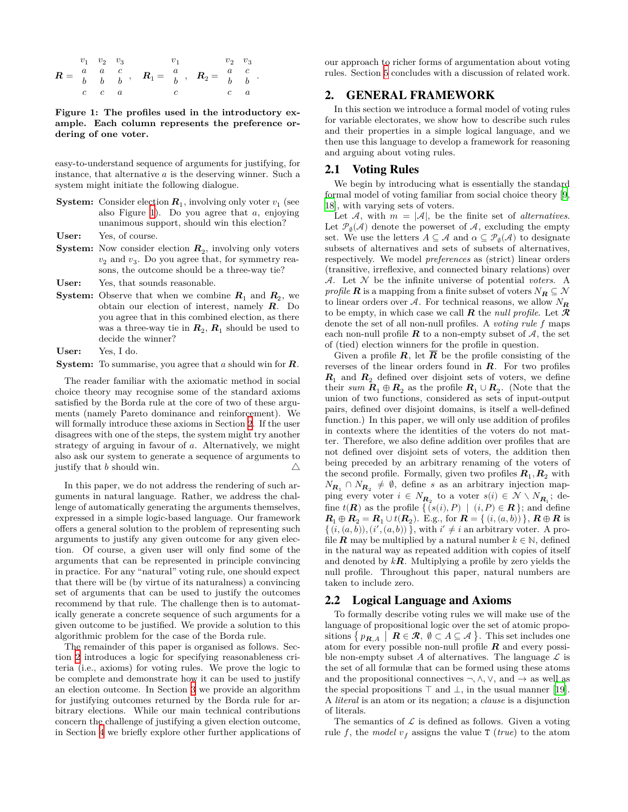$$
R = \begin{array}{ccccccccc} & v_1 & v_2 & v_3 & & v_1 & & v_2 & v_3 \\ a & a & c & & & a \\ b & b & b & & & & b \\ c & c & a & & & & & c \\ \end{array}, \quad R_1 = \begin{array}{ccccccccc} & v_1 & & v_2 & v_3 & & v_4 \\ a & b & & b & c & & b \\ b & b & & b & & c & & a \\ c & & c & & b & & c \\ c & & c & & & & c \\ \end{array}
$$

<span id="page-1-0"></span>**Figure 1: The profiles used in the introductory example. Each column represents the preference ordering of one voter.**

easy-to-understand sequence of arguments for justifying, for instance, that alternative  $a$  is the deserving winner. Such a system might initiate the following dialogue.

- **System:** Consider election  $\mathbf{R}_1$ , involving only voter  $v_1$  (see also Figure [1](#page-1-0)). Do you agree that  $a$ , enjoying unanimous support, should win this election?
- **User:** Yes, of course.
- **System:** Now consider election  $R_2$ , involving only voters  $v_2$  and  $v_3$ . Do you agree that, for symmetry reasons, the outcome should be a three-way tie?
- **User:** Yes, that sounds reasonable.
- **System:** Observe that when we combine  $R_1$  and  $R_2$ , we obtain our election of interest, namely  $\overrightarrow{R}$ . Do you agree that in this combined election, as there was a three-way tie in  $R_2, R_1$  should be used to decide the winner?

**User:** Yes, I do.

**System:** To summarise, you agree that  $a$  should win for  $\mathbb{R}$ .

The reader familiar with the axiomatic method in social choice theory may recognise some of the standard axioms satisfied by the Borda rule at the core of two of these arguments (namely Pareto dominance and reinforcement). We will formally introduce these axioms in Section [2](#page-1-1). If the user disagrees with one of the steps, the system might try another strategy of arguing in favour of  $a$ . Alternatively, we might also ask our system to generate a sequence of arguments to justify that  $b$  should win.  $\triangle$ 

In this paper, we do not address the rendering of such arguments in natural language. Rather, we address the challenge of automatically generating the arguments themselves, expressed in a simple logic-based language. Our framework offers a general solution to the problem of representing such arguments to justify any given outcome for any given election. Of course, a given user will only find some of the arguments that can be represented in principle convincing in practice. For any "natural" voting rule, one should expect that there will be (by virtue of its naturalness) a convincing set of arguments that can be used to justify the outcomes recommend by that rule. The challenge then is to automatically generate a concrete sequence of such arguments for a given outcome to be justified. We provide a solution to this algorithmic problem for the case of the Borda rule.

The remainder of this paper is organised as follows. Section [2](#page-1-1) introduces a logic for specifying reasonableness criteria (i.e., axioms) for voting rules. We prove the logic to be complete and demonstrate how it can be used to justify an election outcome. In Section [3](#page-3-0) we provide an algorithm for justifying outcomes returned by the Borda rule for arbitrary elections. While our main technical contributions concern the challenge of justifying a given election outcome, in Section [4](#page-7-0) we briefly explore other further applications of our approach to richer forms of argumentation about voting rules. Section [5](#page-7-1) concludes with a discussion of related work.

## <span id="page-1-1"></span>2. GENERAL FRAMEWORK

In this section we introduce a formal model of voting rules for variable electorates, we show how to describe such rules and their properties in a simple logical language, and we then use this language to develop a framework for reasoning and arguing about voting rules.

#### 2.1 Voting Rules

We begin by introducing what is essentially the standard formal model of voting familiar from social choice theory [[9](#page-8-5), [18](#page-8-2)], with varying sets of voters.

Let A, with  $m = |A|$ , be the finite set of *alternatives*. Let  $\mathcal{P}_{\emptyset}(\mathcal{A})$  denote the powerset of  $\mathcal{A}$ , excluding the empty set. We use the letters  $A \subseteq \mathcal{A}$  and  $\alpha \subseteq \mathcal{P}_{\emptyset}(\mathcal{A})$  to designate subsets of alternatives and sets of subsets of alternatives, respectively. We model *preferences* as (strict) linear orders (transitive, irreflexive, and connected binary relations) over  $A$ . Let  $N$  be the infinite universe of potential *voters*. A *profile* **R** is a mapping from a finite subset of voters  $N_R \subseteq \mathcal{N}$ to linear orders over A. For technical reasons, we allow  $N_{\mathbf{R}}$ to be empty, in which case we call  $\boldsymbol{R}$  the *null profile*. Let  $\boldsymbol{\mathcal{R}}$ denote the set of all non-null profiles. A *voting rule* f maps each non-null profile  $\boldsymbol{R}$  to a non-empty subset of  $\mathcal{A}$ , the set of (tied) election winners for the profile in question.

Given a profile  $R$ , let  $\overline{R}$  be the profile consisting of the reverses of the linear orders found in  $R$ . For two profiles  $R_1$  and  $R_2$  defined over disjoint sets of voters, we define their *sum*  $R_1 \oplus R_2$  as the profile  $R_1 \cup R_2$ . (Note that the union of two functions, considered as sets of input-output pairs, defined over disjoint domains, is itself a well-defined function.) In this paper, we will only use addition of profiles in contexts where the identities of the voters do not matter. Therefore, we also define addition over profiles that are not defined over disjoint sets of voters, the addition then being preceded by an arbitrary renaming of the voters of the second profile. Formally, given two profiles  $R_1, R_2$  with  $N_{\boldsymbol{R}_1} \cap N_{\boldsymbol{R}_2} \neq \emptyset$ , define s as an arbitrary injection mapping every voter  $i \in N_{R_2}$  to a voter  $s(i) \in \mathcal{N} \setminus N_{R_1}$ ; define  $t(\mathbf{R})$  as the profile  $\{ (s(i), P) | (i, P) \in \mathbf{R} \}$ ; and define  $\bm{R}_1 \oplus \bm{R}_2 = \bm{R}_1 \cup t(\bm{R}_2)$ . E.g., for  $\bm{R} = \{ (i, (a, b)) \}$ ,  $\bm{R} \oplus \bm{R}$  is  $\{(\tilde{i}, (a, \tilde{b})), (\tilde{i}', (a, b))\}$ , with  $\tilde{i}' \neq \tilde{i}$  an arbitrary voter. A profile **R** may be multiplied by a natural number  $k \in \mathbb{N}$ , defined in the natural way as repeated addition with copies of itself and denoted by  $k\mathbf{R}$ . Multiplying a profile by zero yields the null profile. Throughout this paper, natural numbers are taken to include zero.

#### <span id="page-1-2"></span>2.2 Logical Language and Axioms

To formally describe voting rules we will make use of the language of propositional logic over the set of atomic propositions  $\{ p_{\boldsymbol{R},A} \mid \boldsymbol{R} \in \mathcal{R}, \emptyset \subset A \subseteq \mathcal{A} \}$ . This set includes one atom for every possible non-null profile  $R$  and every possible non-empty subset A of alternatives. The language  $\mathcal L$  is the set of all formulæ that can be formed using these atoms and the propositional connectives  $\neg, \wedge, \vee,$  and  $\rightarrow$  as well as the special propositions  $\top$  and  $\bot$ , in the usual manner [[19\]](#page-8-6). A *literal* is an atom or its negation; a *clause* is a disjunction of literals.

The semantics of  $\mathcal L$  is defined as follows. Given a voting rule f, the *model*  $v_f$  assigns the value T (*true*) to the atom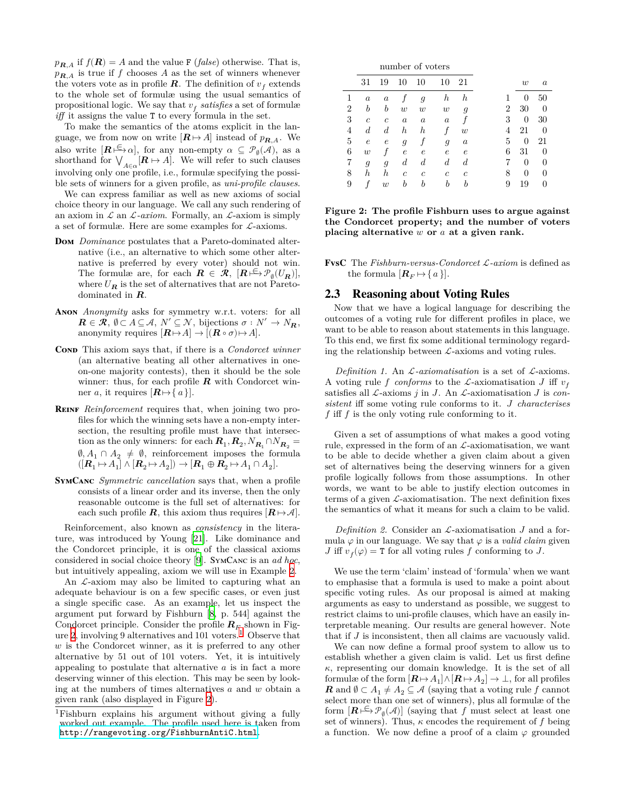$p_{\mathbf{R},A}$  if  $f(\mathbf{R}) = A$  and the value F (*false*) otherwise. That is,  $p_{R,A}$  is true if f chooses A as the set of winners whenever the voters vote as in profile  $\boldsymbol{R}$ . The definition of  $v_f$  extends to the whole set of formulæ using the usual semantics of propositional logic. We say that  $v_f$  satisfies a set of formulæ *iff* it assigns the value T to every formula in the set.

To make the semantics of the atoms explicit in the language, we from now on write  $[\mathbf{R} \mapsto A]$  instead of  $p_{\mathbf{R}, A}$ . We also write  $[\mathbf{R} \models \infty]$ , for any non-empty  $\alpha \subseteq \mathcal{P}_{\emptyset}(\mathcal{A})$ , as a shorthand for  $\bigvee_{A\in\alpha} [\mathbf{R} \mapsto A]$ . We will refer to such clauses involving only one profile, i.e., formulæ specifying the possible sets of winners for a given profile, as *uni-profile clauses*.

We can express familiar as well as new axioms of social choice theory in our language. We call any such rendering of an axiom in  $\mathcal L$  an  $\mathcal L$ *-axiom*. Formally, an  $\mathcal L$ -axiom is simply a set of formulæ. Here are some examples for  $\mathcal{L}$ -axioms.

- **Dom** *Dominance* postulates that a Pareto-dominated alternative (i.e., an alternative to which some other alternative is preferred by every voter) should not win. The formulæ are, for each  $\mathbf{R} \in \mathcal{R}$ ,  $[\mathbf{R} \models^{\mathbb{C}} \mathcal{P}_{\emptyset}(U_{\mathbf{R}})],$ where  $U_R$  is the set of alternatives that are not Paretodominated in  $\boldsymbol{R}$ .
- **Anon** *Anonymity* asks for symmetry w.r.t. voters: for all  $\mathbf{R} \in \mathcal{R}, \ \emptyset \subset A \subseteq \mathcal{A}, \ N' \subseteq \mathcal{N}, \ \text{bijections} \ \sigma : N' \to N_{\mathbf{R}},$ anonymity requires  $[\mathbf{R} \mapsto A] \to [(\mathbf{R} \circ \sigma) \mapsto A].$
- **Cond** This axiom says that, if there is a *Condorcet winner* (an alternative beating all other alternatives in oneon-one majority contests), then it should be the sole winner: thus, for each profile  $R$  with Condorcet winner *a*, it requires  $[{\bf R} \mapsto \{ a \}]$ .
- **Reinf** *Reinforcement* requires that, when joining two profiles for which the winning sets have a non-empty intersection, the resulting profile must have that intersection as the only winners: for each  $R_1, R_2, N_{R_1} \cap N_{R_2} =$  $\emptyset, A_1 \cap A_2 \neq \emptyset$ , reinforcement imposes the formula  $([R_1 \mapsto A_1] \wedge [R_2 \mapsto A_2]) \rightarrow [R_1 \oplus R_2 \mapsto A_1 \cap A_2].$
- **SymCanc** *Symmetric cancellation* says that, when a profile consists of a linear order and its inverse, then the only reasonable outcome is the full set of alternatives: for each such profile  $R$ , this axiom thus requires  $[R \mapsto \mathcal{A}].$

Reinforcement, also known as *consistency* in the literature, was introduced by Young [[21\]](#page-8-4). Like dominance and the Condorcet principle, it is one of the classical axioms considered in social choice theory [\[9](#page-8-5)]. SymCanc is an *ad hoc*, but intuitively appealing, axiom we will use in Example [2](#page-3-1).

An  $\mathcal{L}$ -axiom may also be limited to capturing what an adequate behaviour is on a few specific cases, or even just a single specific case. As an example, let us inspect the argument put forward by Fishburn [\[8,](#page-8-7) p. 544] against the Condorcet principle. Consider the profile  $R_F$  shown in Fig-ure [2,](#page-2-0) involving 9 alternatives and  $101$  $101$  voters.<sup>1</sup> Observe that  $w$  is the Condorcet winner, as it is preferred to any other alternative by 51 out of 101 voters. Yet, it is intuitively appealing to postulate that alternative  $\alpha$  is in fact a more deserving winner of this election. This may be seen by looking at the numbers of times alternatives  $a$  and  $w$  obtain a given rank (also displayed in Figure [2\)](#page-2-0).

|   | number of voters |                  |                  |                  |                |                  |  |  |  |
|---|------------------|------------------|------------------|------------------|----------------|------------------|--|--|--|
|   | 31               | 19               | 10               | 10               | 10             | 21               |  |  |  |
| 1 | $\boldsymbol{a}$ | $\alpha$         |                  | g                | h              | h                |  |  |  |
| 2 | b                | b                | w                | w                | w              | g                |  |  |  |
| 3 | $\mathfrak c$    | $\boldsymbol{c}$ | $\boldsymbol{a}$ | $\boldsymbol{a}$ | $\it a$        |                  |  |  |  |
| 4 | $\boldsymbol{d}$ | $_{d}$           | h                | h                |                | w                |  |  |  |
| 5 | $\epsilon$       | $\epsilon$       | g                |                  | $\mathfrak{g}$ | $\boldsymbol{a}$ |  |  |  |
| 6 | w                |                  | $\epsilon$       | $\epsilon$       | $\epsilon$     | $\epsilon$       |  |  |  |
| 7 | 9                | g                | $_{d}$           | d                | d              | d                |  |  |  |
| 8 | h                | h                | $\boldsymbol{c}$ | $\mathfrak{c}$   | c              | $\boldsymbol{c}$ |  |  |  |
| 9 |                  | $\boldsymbol{w}$ | b                | h                | h              | h                |  |  |  |

<span id="page-2-0"></span>**Figure 2: The profile Fishburn uses to argue against the Condorcet property; and the number of voters placing alternative or at a given rank.**

**FvsC** The *Fishburn-versus-Condorcet*  $\mathcal{L}$ -axiom is defined as the formula  $[\mathbf{R}_F \mapsto \{a\}].$ 

## 2.3 Reasoning about Voting Rules

Now that we have a logical language for describing the outcomes of a voting rule for different profiles in place, we want to be able to reason about statements in this language. To this end, we first fix some additional terminology regarding the relationship between  $\mathcal{L}$ -axioms and voting rules.

*Definition 1.* An  $\mathcal{L}\text{-}axiomatisation$  is a set of  $\mathcal{L}\text{-}axioms$ . A voting rule f conforms to the *L*-axiomatisation J iff  $v_f$ satisfies all *L*-axioms  $j$  in  $J$ . An *L*-axiomatisation  $J$  is *consistent* iff some voting rule conforms to it. *characterises* f iff  $f$  is the only voting rule conforming to it.

Given a set of assumptions of what makes a good voting rule, expressed in the form of an  $\mathcal{L}$ -axiomatisation, we want to be able to decide whether a given claim about a given set of alternatives being the deserving winners for a given profile logically follows from those assumptions. In other words, we want to be able to justify election outcomes in terms of a given  $\mathcal{L}\text{-axiom}$  at a contraction. The next definition fixes the semantics of what it means for such a claim to be valid.

*Definition 2.* Consider an  $\mathcal{L}$ -axiomatisation  $J$  and a formula  $\varphi$  in our language. We say that  $\varphi$  is a *valid claim* given *J* iff  $v_f(\varphi) = T$  for all voting rules f conforming to *J*.

We use the term 'claim' instead of 'formula' when we want to emphasise that a formula is used to make a point about specific voting rules. As our proposal is aimed at making arguments as easy to understand as possible, we suggest to restrict claims to uni-profile clauses, which have an easily interpretable meaning. Our results are general however. Note that if  $J$  is inconsistent, then all claims are vacuously valid.

We can now define a formal proof system to allow us to establish whether a given claim is valid. Let us first define  $\kappa$ , representing our domain knowledge. It is the set of all formulæ of the form  $[\mathbf{R} \mapsto A_1] \wedge [\mathbf{R} \mapsto A_2] \to \bot$ , for all profiles **R** and  $\emptyset \subset A_1 \neq A_2 \subseteq \mathcal{A}$  (saying that a voting rule f cannot select more than one set of winners), plus all formulæ of the form  $[\mathbf{R} \mapsto \mathcal{P}_{\emptyset}(\mathcal{A})]$  (saying that f must select at least one set of winners). Thus,  $\kappa$  encodes the requirement of f being a function. We now define a proof of a claim  $\varphi$  grounded

<span id="page-2-1"></span><sup>1</sup>Fishburn explains his argument without giving a fully worked out example. The profile used here is taken from <http://rangevoting.org/FishburnAntiC.html>.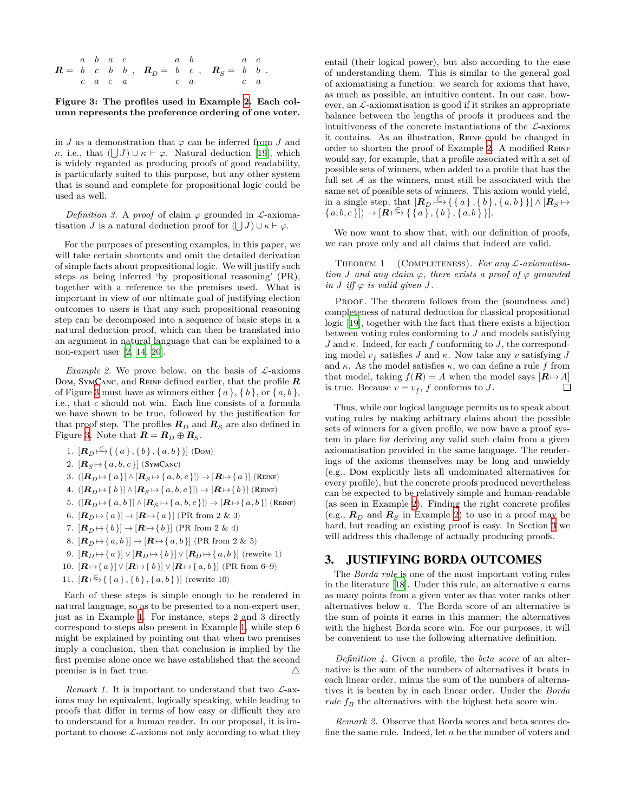| $a \quad b \quad a \quad c$ |  |  | $a \quad b \qquad a \quad c$                                                                                                   |  |  |  |
|-----------------------------|--|--|--------------------------------------------------------------------------------------------------------------------------------|--|--|--|
|                             |  |  | $\mathbf{R} = b \quad c \quad b \quad b \quad , \quad \mathbf{R}_D = b \quad c \quad , \quad \mathbf{R}_S = b \quad b \quad .$ |  |  |  |
|                             |  |  | $c \ a \ c \ a \qquad c \ a \qquad c \ a$                                                                                      |  |  |  |

#### <span id="page-3-2"></span>**Figure 3: The profiles used in Example [2](#page-3-1). Each column represents the preference ordering of one voter.**

in  $J$  as a demonstration that  $\varphi$  can be inferred from  $J$  and  $\kappa$ , i.e., that  $(|J|) \cup \kappa \vdash \varphi$ . Natural deduction [\[19](#page-8-6)], which is widely regarded as producing proofs of good readability, is particularly suited to this purpose, but any other system that is sound and complete for propositional logic could be used as well.

*Definition 3.* A *proof* of claim  $\varphi$  grounded in *L*-axiomatisation *J* is a natural deduction proof for  $(|J|) \cup \kappa \vdash \varphi$ .

For the purposes of presenting examples, in this paper, we will take certain shortcuts and omit the detailed derivation of simple facts about propositional logic. We will justify such steps as being inferred 'by propositional reasoning' (PR), together with a reference to the premises used. What is important in view of our ultimate goal of justifying election outcomes to users is that any such propositional reasoning step can be decomposed into a sequence of basic steps in a natural deduction proof, which can then be translated into an argument in natural language that can be explained to a non-expert user [[2](#page-8-8), [14,](#page-8-9) [20\]](#page-8-10).

<span id="page-3-1"></span>*Example 2.* We prove below, on the basis of  $\mathcal{L}$ -axioms Dom, SYMCANC, and REINF defined earlier, that the profile  $R$ of Figure [3](#page-3-2) must have as winners either  $\{a\}, \{b\}, \text{or } \{a, b\},\$ i.e., that  $c$  should not win. Each line consists of a formula we have shown to be true, followed by the justification for that proof step. The profiles  $R_D$  and  $R_S$  are also defined in

Figure [3](#page-3-2). Note that  $\boldsymbol{R} = \boldsymbol{R}_D \oplus \boldsymbol{R}_S$ . 1.  $[\mathbf{R}_D \stackrel{\in}{\longmapsto} \{\{a\}, \{b\}, \{a, b\}\}]$  (Dom) 2.  $[\mathbf{R}_S \mapsto \{a, b, c\}]$  (SYMCANC)  $3. \ \left(\left[\bm{R}_D\!\mapsto\!\left\{\,a\,\right\}\right]\wedge \left[\bm{R}_S\!\mapsto\!\left\{\,a\, ,b\, ,c\,\right\}\right]\right)\to \left[\bm{R}\!\mapsto\!\left\{\,a\,\right\}\right] \,\left(\text{Re}\text{INF}\right)$ 4.  $([R_D \mapsto \{b\}] \wedge [R_S \mapsto \{a, b, c\}]) \rightarrow [R \mapsto \{b\}]$  (REINF) 5.  $(|\mathbf{R}_D \mapsto \{a, b\}| \wedge |\mathbf{R}_S \mapsto \{a, b, c\}|) \rightarrow |\mathbf{R} \mapsto \{a, b\}|$  (Reinf) 6.  $\left[\boldsymbol{R}_D\!\mapsto\!\left\{\,a\,\right\}\right]\to\left[\boldsymbol{R}\!\mapsto\!\left\{\,a\,\right\}\right]$  (PR from 2 & 3)

- 7.  $[\mathbf{R}_D \mapsto \{b\}] \rightarrow [\mathbf{R} \mapsto \{b\}]$  (PR from 2 & 4)
- 8.  $[\mathbf{R}_D \mapsto \{a, b\}] \rightarrow [\mathbf{R} \mapsto \{a, b\}]$  (PR from 2 & 5)
- 9.  $[\mathbf{R}_D \mapsto \{a\}] \vee [\mathbf{R}_D \mapsto \{b\}] \vee [\mathbf{R}_D \mapsto \{a,b\}]$  (rewrite 1)
- 10.  $[\mathbf{R} \mapsto \{a\}] \vee [\mathbf{R} \mapsto \{b\}] \vee [\mathbf{R} \mapsto \{a, b\}]$  (PR from 6–9)
- 11.  $[\mathbf{R} \mapsto \{\{a\}, \{b\}, \{a, b\}\}]$  (rewrite 10)

Each of these steps is simple enough to be rendered in natural language, so as to be presented to a non-expert user, just as in Example [1](#page-0-0). For instance, steps 2 and 3 directly correspond to steps also present in Example [1](#page-0-0), while step 6 might be explained by pointing out that when two premises imply a conclusion, then that conclusion is implied by the first premise alone once we have established that the second premise is in fact true.  $\triangle$ 

<span id="page-3-3"></span>*Remark 1.* It is important to understand that two  $\mathcal{L}$ -axioms may be equivalent, logically speaking, while leading to proofs that differ in terms of how easy or difficult they are to understand for a human reader. In our proposal, it is important to choose  $\mathcal{L}$ -axioms not only according to what they

entail (their logical power), but also according to the ease of understanding them. This is similar to the general goal of axiomatising a function: we search for axioms that have, as much as possible, an intuitive content. In our case, however, an  $\mathcal{L}$ -axiomatisation is good if it strikes an appropriate balance between the lengths of proofs it produces and the intuitiveness of the concrete instantiations of the  $\mathcal{L}$ -axioms it contains. As an illustration, REINF could be changed in order to shorten the proof of Example [2](#page-3-1). A modified REINF would say, for example, that a profile associated with a set of possible sets of winners, when added to a profile that has the full set  $A$  as the winners, must still be associated with the same set of possible sets of winners. This axiom would yield, in a single step, that  $[\mathbf{R}_D \stackrel{\infty}{\longmapsto} \{\{a\}, \{b\}, \{a, b\}\}] \wedge [\mathbf{R}_S \mapsto$  $\{a, b, c\}\) \rightarrow [\mathbf{R} \models \{ \{a\}, \{b\}, \{a, b\}\}].$ 

We now want to show that, with our definition of proofs, we can prove only and all claims that indeed are valid.

THEOREM 1 (COMPLETENESS). For any *L*-axiomatisa*tion J* and any claim  $\varphi$ , there exists a proof of  $\varphi$  grounded *in*  $J$  *iff*  $\varphi$  *is valid given*  $J$ .

PROOF. The theorem follows from the (soundness and) completeness of natural deduction for classical propositional logic [\[19\]](#page-8-6), together with the fact that there exists a bijection between voting rules conforming to  $J$  and models satisfying  $J$  and  $\kappa$ . Indeed, for each  $f$  conforming to  $J$ , the corresponding model  $v_f$  satisfies  $J$  and  $\kappa$ . Now take any  $v$  satisfying  $J$ and  $\kappa$ . As the model satisfies  $\kappa$ , we can define a rule f from that model, taking  $f(\mathbf{R}) = A$  when the model says  $[\mathbf{R} \mapsto A]$  $\Box$ is true. Because  $v = v_f$ , f conforms to J.

Thus, while our logical language permits us to speak about voting rules by making arbitrary claims about the possible sets of winners for a given profile, we now have a proof system in place for deriving any valid such claim from a given axiomatisation provided in the same language. The renderings of the axioms themselves may be long and unwieldy (e.g., Dom explicitly lists all undominated alternatives for every profile), but the concrete proofs produced nevertheless can be expected to be relatively simple and human-readable (as seen in Example [2](#page-3-1)). Finding the right concrete profiles (e.g.,  $\mathbf{R}_D$  and  $\mathbf{R}_S$  in Example [2](#page-3-1)) to use in a proof may be hard, but reading an existing proof is easy. In Section [3](#page-3-0) we will address this challenge of actually producing proofs.

### <span id="page-3-0"></span>3. JUSTIFYING BORDA OUTCOMES

The *Borda rule* is one of the most important voting rules in the literature  $[18]$ . Under this rule, an alternative  $a$  earns as many points from a given voter as that voter ranks other alternatives below a. The Borda score of an alternative is the sum of points it earns in this manner; the alternatives with the highest Borda score win. For our purposes, it will be convenient to use the following alternative definition.

*Definition 4.* Given a profile, the *beta score* of an alternative is the sum of the numbers of alternatives it beats in each linear order, minus the sum of the numbers of alternatives it is beaten by in each linear order. Under the *Borda rule*  $f_B$  the alternatives with the highest beta score win.

<span id="page-3-4"></span>*Remark 2.* Observe that Borda scores and beta scores define the same rule. Indeed, let  $n$  be the number of voters and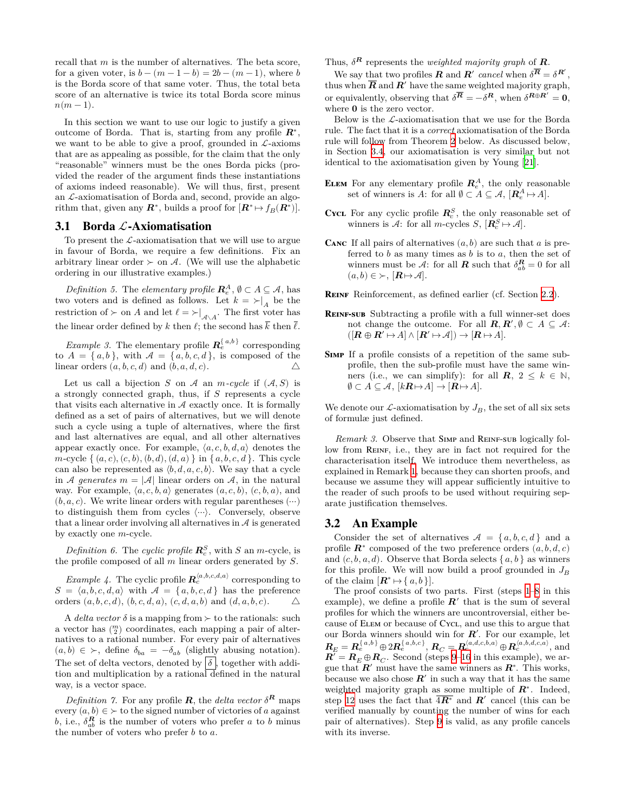recall that  $m$  is the number of alternatives. The beta score, for a given voter, is  $b - (m - 1 - b) = 2b - (m - 1)$ , where b is the Borda score of that same voter. Thus, the total beta score of an alternative is twice its total Borda score minus  $n(m-1)$ .

In this section we want to use our logic to justify a given outcome of Borda. That is, starting from any profile  $\mathbb{R}^*$ , we want to be able to give a proof, grounded in  $\mathcal{L}$ -axioms that are as appealing as possible, for the claim that the only "reasonable" winners must be the ones Borda picks (provided the reader of the argument finds these instantiations of axioms indeed reasonable). We will thus, first, present an  $\mathcal{L}$ -axiomatisation of Borda and, second, provide an algorithm that, given any  $\mathbb{R}^*$ , builds a proof for  $[\mathbb{R}^* \mapsto f_B(\mathbb{R}^*)]$ .

## 3.1 Borda  $\mathcal{L}\text{-}A$ xiomatisation

To present the  $\mathcal{L}$ -axiomatisation that we will use to argue in favour of Borda, we require a few definitions. Fix an arbitrary linear order  $\succ$  on A. (We will use the alphabetic ordering in our illustrative examples.)

*Definition 5.* The *elementary profile*  $\mathbb{R}^A_e$ ,  $\emptyset \subset A \subseteq \mathcal{A}$ , has two voters and is defined as follows. Let  $k = \succ|_A$  be the restriction of  $\succ$  on A and let  $\ell = \succ|_{\mathcal{A}\setminus A}$ . The first voter has the linear order defined by k then  $\ell$ ; the second has  $\bar{k}$  then  $\bar{\ell}$ .

*Example 3.* The elementary profile  $\mathbf{R}_{e}^{\{a,b\}}$  corresponding to  $A = \{a, b\}$ , with  $A = \{a, b, c, d\}$ , is composed of the linear orders  $(a, b, c, d)$  and  $(b, a, d, c)$ .  $\triangle$ 

Let us call a bijection  $S$  on  $A$  an  $m$ -cycle if  $(A, S)$  is a strongly connected graph, thus, if  $S$  represents a cycle that visits each alternative in  $A$  exactly once. It is formally defined as a set of pairs of alternatives, but we will denote such a cycle using a tuple of alternatives, where the first and last alternatives are equal, and all other alternatives appear exactly once. For example,  $\langle a, c, b, d, a \rangle$  denotes the  $m$ -cycle  $\{ (a, c), (c, b), (b, d), (d, a) \}$  in  $\{ a, b, c, d \}$ . This cycle can also be represented as  $\langle b, d, a, c, b \rangle$ . We say that a cycle in *A* generates  $m = |\mathcal{A}|$  linear orders on  $\mathcal{A}$ , in the natural way. For example,  $\langle a, c, b, a \rangle$  generates  $(a, c, b), (c, b, a),$  and  $(b, a, c)$ . We write linear orders with regular parentheses  $(\cdots)$ to distinguish them from cycles ⟨⋯⟩. Conversely, observe that a linear order involving all alternatives in  $A$  is generated by exactly one  $m$ -cycle.

*Definition 6.* The *cyclic profile*  $\mathbb{R}^S_c$ , with *S* an *m*-cycle, is the profile composed of all  $m$  linear orders generated by  $S$ .

*Example 4.* The cyclic profile  $\mathbf{R}_c^{\langle a,b,c,d,a \rangle}$  corresponding to  $S = \langle a, b, c, d, a \rangle$  with  $\mathcal{A} = \{a, b, c, d\}$  has the preference orders  $(a, b, c, d), (b, c, d, a), (c, d, a, b)$  and  $(d, a, b, c).$   $\Delta$ 

A *delta vector*  $\delta$  is a mapping from  $\succ$  to the rationals: such a vector has  $\binom{m}{2}$  coordinates, each mapping a pair of alternatives to a rational number. For every pair of alternatives  $(a, b) \in \succ$ , define  $\delta_{ba} = -\delta_{ab}$  (slightly abusing notation). The set of delta vectors, denoted by  $\delta$ , together with addition and multiplication by a rational defined in the natural way, is a vector space.

*Definition 7.* For any profile **R**, the *delta vector*  $\delta^R$  maps every  $(a, b) \in \succ$  to the signed number of victories of a against b, i.e.,  $\delta_{ab}^R$  is the number of voters who prefer a to b minus the number of voters who prefer  $b$  to  $a$ .

Thus,  $\delta^{R}$  represents the *weighted majority graph* of **R**.

We say that two profiles **R** and **R**' cancel when  $\delta^{\overline{R}} = \delta^{\overline{R}}'$ , thus when  $\overline{R}$  and  $\overline{R}'$  have the same weighted majority graph, or equivalently, observing that  $\delta^{\overline{R}} = -\delta^R$ , when  $\delta^{R \oplus R'} = 0$ , where  $0$  is the zero vector.

Below is the  $\mathcal{L}$ -axiomatisation that we use for the Borda rule. The fact that it is a *correct* axiomatisation of the Borda rule will follow from Theorem [2](#page-6-0) below. As discussed below, in Section [3.4,](#page-7-2) our axiomatisation is very similar but not identical to the axiomatisation given by Young [\[21\]](#page-8-4).

- **ELEM** For any elementary profile  $\mathbb{R}^A_e$ , the only reasonable set of winners is A: for all  $\emptyset \subset A \subseteq \mathcal{A}, [\mathbf{R}_{e}^{A} \mapsto A].$
- **CYCL** For any cyclic profile  $\mathbb{R}_c^S$ , the only reasonable set of winners is  $A$ : for all *m*-cycles  $S$ ,  $[\mathbf{R}_c^S \mapsto A]$ .
- **CANC** If all pairs of alternatives  $(a, b)$  are such that  $a$  is preferred to  $b$  as many times as  $b$  is to  $a$ , then the set of winners must be  $\mathcal{A}$ : for all **R** such that  $\delta_{ab}^{\mathbf{R}} = 0$  for all  $(a, b) \in \succ, [\mathbf{R} \mapsto \mathcal{A}].$
- **Reinf** Reinforcement, as defined earlier (cf. Section [2.2\)](#page-1-2).
- **REINF-SUB** Subtracting a profile with a full winner-set does not change the outcome. For all  $\mathbf{R}, \mathbf{R}', \emptyset \subset A \subseteq \mathcal{A}$ :  $([R \oplus R' \mapsto A] \wedge [R' \mapsto A]) \rightarrow [R \mapsto A].$
- **Simp** If a profile consists of a repetition of the same subprofile, then the sub-profile must have the same winners (i.e., we can simplify): for all  $\mathbf{R}, 2 \leq k \in \mathbb{N}$ ,  $\emptyset \subset A \subseteq \mathcal{A}, [k\mathbf{R} \mapsto A] \to [\mathbf{R} \mapsto A].$

We denote our  $\mathcal{L}$ -axiomatisation by  $J_B$ , the set of all six sets of formulæ just defined.

*Remark 3.* Observe that SIMP and REINF-SUB logically follow from REINF, i.e., they are in fact not required for the characterisation itself. We introduce them nevertheless, as explained in Remark [1](#page-3-3), because they can shorten proofs, and because we assume they will appear sufficiently intuitive to the reader of such proofs to be used without requiring separate justification themselves.

## <span id="page-4-0"></span>3.2 An Example

Consider the set of alternatives  $A = \{a, b, c, d\}$  and a profile  $\mathbf{R}^*$  composed of the two preference orders  $(a, b, d, c)$ and  $(c, b, a, d)$ . Observe that Borda selects  $\{a, b\}$  as winners for this profile. We will now build a proof grounded in  $J_B$ of the claim  $[\mathbf{R}^* \mapsto \{a, b\}].$ 

The proof consists of two parts. First (steps [1–](#page-5-0)[8](#page-5-1) in this example), we define a profile  $R'$  that is the sum of several profiles for which the winners are uncontroversial, either because of Elem or because of Cycl, and use this to argue that our Borda winners should win for  $R'$ . For our example, let  $\bm{R}_E=\bm{R}^{\set{a,b}}_e\oplus 2\bm{R}^{\set{a,b,c\}}_e,\, \bm{R}_C=\bm{R}^{\langle a,d,c,b,a\rangle}_c\oplus \bm{R}^{\langle a,b,d,c,a\rangle}_c,$  and  $\overline{\mathbf{R}'} = \mathbf{R}_E \oplus \mathbf{R}_C$ . Second (steps [9](#page-5-2)–[16](#page-5-3) in this example), we argue that  $R'$  must have the same winners as  $R^*$ . This works, because we also chose  $R'$  in such a way that it has the same weighted majority graph as some multiple of  $\mathbb{R}^*$ . Indeed, step [12](#page-5-4) uses the fact that  $\overline{4R^*}$  and  $R'$  cancel (this can be verified manually by counting the number of wins for each pair of alternatives). Step [9](#page-5-2) is valid, as any profile cancels with its inverse.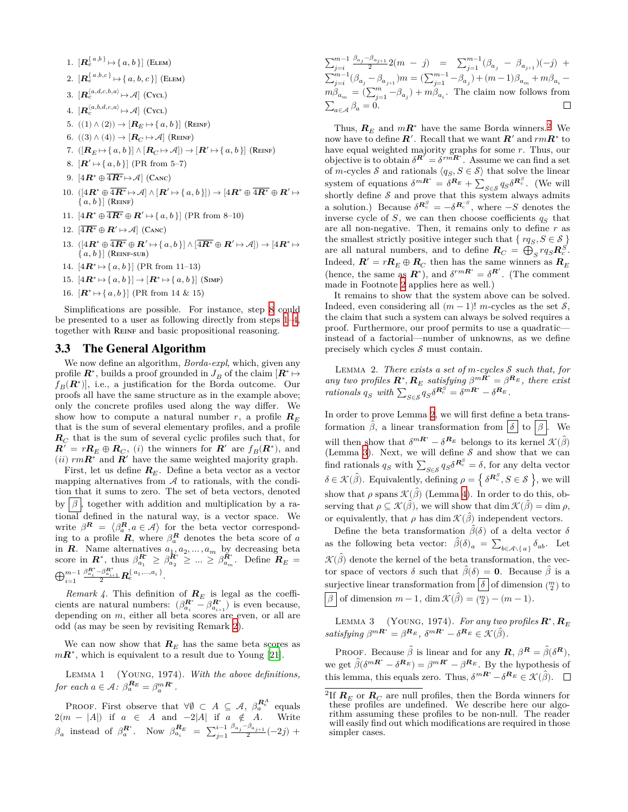<span id="page-5-5"></span><span id="page-5-2"></span><span id="page-5-1"></span><span id="page-5-0"></span>1. 
$$
[\mathbf{R}_{e}^{\{a,b\}} \mapsto \{a,b\}] \text{ (ELEM)}
$$
\n2. 
$$
[\mathbf{R}_{e}^{\{a,b,c\}} \mapsto \{a,b,c\}] \text{ (ELEM)}
$$
\n3. 
$$
[\mathbf{R}_{e}^{\{a,b,c,b\}} \mapsto \mathcal{A}] \text{ (Cvcl)}
$$
\n4. 
$$
[\mathbf{R}_{e}^{\{a,b,d,c,a\}} \mapsto \mathcal{A}] \text{ (Cvcl)}
$$
\n5. 
$$
((1) \land (2)) \mapsto [\mathbf{R}_{E} \mapsto \{a,b\}] \text{ (REINF)}
$$
\n6. 
$$
((3) \land (4)) \mapsto [\mathbf{R}_{C} \mapsto \mathcal{A}] \text{ (REINF)}
$$
\n7. 
$$
([\mathbf{R}_{E} \mapsto \{a,b\}] \land [\mathbf{R}_{C} \mapsto \mathcal{A}]) \rightarrow [\mathbf{R}' \mapsto \{a,b\}] \text{ (REINF)}
$$
\n8. 
$$
[\mathbf{R}' \mapsto \{a,b\}] \text{ (PR from 5–7)}
$$
\n9. 
$$
[4\mathbf{R}^* \oplus \overline{4\mathbf{R}^*} \mapsto \mathcal{A}] \text{ (CANC)}
$$
\n10. 
$$
([\{4\mathbf{R}^* \oplus \overline{4\mathbf{R}^*} \mapsto \mathcal{A}] \land [\mathbf{R}' \mapsto \{a,b\}] \rightarrow [4\mathbf{R}^* \oplus \overline{4\mathbf{R}^*} \oplus \mathbf{R}' \mapsto \{a,b\}] \text{ (REINF)}
$$
\n11. 
$$
[\mathbf{4R}^* \oplus \overline{4\mathbf{R}^*} \oplus \mathbf{R}' \mapsto \{a,b\}] \text{ (PR from 8–10)}
$$
\n12. 
$$
[\overline{4\mathbf{R}^*} \oplus \mathbf{R}' \mapsto \mathcal{A}] \text{ (CANC)}
$$
\n13. 
$$
([\{4\mathbf{R}^* \oplus \overline{4\mathbf{R}^*} \oplus \mathbf{R}' \mapsto \{a,b\}] \land [\overline{4\mathbf{R}^*} \oplus \mathbf{R}' \mapsto \{a,b\}] \text{ (RE
$$

<span id="page-5-4"></span><span id="page-5-3"></span>16.  $[\mathbf{R}^* \mapsto \{a, b\}]$  (PR from 14 & 15)

Simplifications are possible. For instance, step [8](#page-5-1) could be presented to a user as following directly from steps [1](#page-5-0)–[4](#page-5-5), together with REINF and basic propositional reasoning.

#### 3.3 The General Algorithm

We now define an algorithm, *Borda-expl*, which, given any profile  $\mathbb{R}^*$ , builds a proof grounded in  $J_B$  of the claim  $[\mathbb{R}^* \mapsto$  $(f_B(\mathbf{R}^*))$ , i.e., a justification for the Borda outcome. Our proofs all have the same structure as in the example above; only the concrete profiles used along the way differ. We show how to compute a natural number r, a profile  $R_E$ that is the sum of several elementary profiles, and a profile  $\boldsymbol{R}_C$  that is the sum of several cyclic profiles such that, for  $\boldsymbol{R}' = r\boldsymbol{R}_E \oplus \boldsymbol{R}_C$ , (*i*) the winners for  $\boldsymbol{R}'$  are  $f_B(\boldsymbol{R}^*)$ , and (*ii*)  $rm\bf R}^*$  and  $\bf R'$  have the same weighted majority graph.

First, let us define  $R_E$ . Define a beta vector as a vector mapping alternatives from  $A$  to rationals, with the condition that it sums to zero. The set of beta vectors, denoted by  $|\beta|$ , together with addition and multiplication by a rational defined in the natural way, is a vector space. We write  $\beta^R = \langle \beta_a^R, a \in \mathcal{A} \rangle$  for the beta vector corresponding to a profile  $\mathbf{R}$ , where  $\beta_a^{\mathbf{R}}$  denotes the beta score of a in  $\mathbf{R}$ . Name alternatives  $a_1, a_2, \ldots, a_m$  by decreasing beta score in  $\bm{R}^*$ , thus  $\beta_{a_1}^{\bm{R}^*} \geq \beta_{a_2}^{\bm{\tilde{R}}^*} \geq ... \geq \beta_{a_m}^{\bm{\tilde{R}}^*}$ . Define  $\bm{R}_E =$  $\bigoplus_{i=1}^{m-1}$  $\frac{\beta_{a_i}^{\bm{R}^*}-\beta_{a_{i+1}}^{\bm{R}^*}}{2} \bm{R}_{e}^{\set{a_1,...,a_i}}.$ 

*Remark 4.* This definition of  $R_E$  is legal as the coefficients are natural numbers:  $(\beta_{a_i}^{R^*} - \beta_{a_{i+1}}^{R^*})$  is even because, depending on  $m$ , either all beta scores are even, or all are odd (as may be seen by revisiting Remark [2\)](#page-3-4).

We can now show that  $R_E$  has the same beta scores as  $m\mathbf{R}^*$ , which is equivalent to a result due to Young [\[21](#page-8-4)].

<span id="page-5-10"></span>Lemma 1 (Young, 1974). *With the above definitions,* for each  $a \in \mathcal{A}$ :  $\beta_a^{\mathbf{R}_E} = \beta_a^{m\mathbf{R}^*}$ .

PROOF. First observe that  $\forall \emptyset \subset A \subseteq \mathcal{A}, \beta_a^{\mathbf{R}_e^A}$  equals  $2(m - |A|)$  if  $a \in A$  and  $-2|A|$  if  $a \notin A$ . Write  $\beta_a$  instead of  $\beta_a^{\mathbf{R}^*}$ . Now  $\beta_{a_i}^{\mathbf{R}_E} = \sum_{j=1}^{i-1} \frac{\beta_{a_j} - \beta_{a_{j+1}}}{2} (-2j)$  +

 $\begin{array}{ccc} \sum_{j=i}^{m-1}\frac{\beta_{a_j}-\beta_{a_{j+1}}}{2}2(m~-~j)&=&\sum_{j=1}^{m-1}(\beta_{a_j}~-~\beta_{a_{j+1}})(-j)~+ \end{array}$  $\textstyle \sum_{j=i}^{m-1} (\beta_{a_j} - \beta_{a_{j+1}})m = (\sum_{j=1}^{m-1} - \beta_{a_j}) + (m-1)\beta_{a_m} + m\beta_{a_i}$  $m\beta_{a_m} = (\sum_{j=1}^m -\beta_{a_j}) + m\beta_{a_i}$ . The claim now follows from  $\sum_{a \in \mathcal{A}} \beta_a = 0.$ □

Thus,  $\mathbf{R}_E$  and  $m\mathbf{R}^*$  have the same Borda winners.<sup>[2](#page-5-6)</sup> We now have to define  $R'$ . Recall that we want  $R'$  and  $rmR^*$  to have equal weighted majority graphs for some  $r$ . Thus, our objective is to obtain  $\delta^{R'} = \delta^{r m R^*}$ . Assume we can find a set of m-cycles  $\mathcal S$  and rationals  $\langle q_S, S \in \mathcal S \rangle$  that solve the linear system of equations  $\delta^{mR^*} = \delta^{R_E} + \sum_{S \in \mathcal{S}} q_S \delta^{R^S_c}$ . (We will shortly define  $S$  and prove that this system always admits a solution.) Because  $\delta^{R_c^S} = -\delta^{R_c^S}$ , where  $-S$  denotes the inverse cycle of  $S$ , we can then choose coefficients  $q_S$  that are all non-negative. Then, it remains only to define  $r$  as the smallest strictly positive integer such that  $\{rq_S, S \in \mathcal{S}\}\$ are all natural numbers, and to define  $\mathbf{R}_C = \bigoplus_{S} r q_S \mathbf{R}_c^S$ . Indeed,  $\boldsymbol{R}' = r \boldsymbol{R}_E \oplus \boldsymbol{R}_C$  then has the same winners as  $\boldsymbol{R}_E$ (hence, the same as  $\mathbf{R}^*$ ), and  $\delta^{rm\bf{R}^*} = \delta^{\mathbf{R}'}$ . (The comment made in Footnote [2](#page-5-6) applies here as well.)

It remains to show that the system above can be solved. Indeed, even considering all  $(m-1)!$  m-cycles as the set  $\mathcal{S}$ . the claim that such a system can always be solved requires a proof. Furthermore, our proof permits to use a quadratic instead of a factorial—number of unknowns, as we define precisely which cycles  $S$  must contain.

<span id="page-5-7"></span>LEMMA 2. *There exists a set of m-cycles*  $S$  such that, for *any two profiles*  $\mathbf{R}^*, \mathbf{R}_E$  satisfying  $\beta^{m\tilde{\mathbf{R}}^*} = \beta^{\mathbf{R}_E}$ , there exist  $rationals$   $q_S$  with  $\sum_{S \in \mathcal{S}} q_S \delta^{R_c^S} = \delta^{mR^*} - \delta^{R_E}$ .

In order to prove Lemma [2](#page-5-7), we will first define a beta transformation  $\hat{\beta}$ , a linear transformation from  $\delta |$  to  $\beta$ . We will then show that  $\delta^{mR^*} - \delta^{R_E}$  belongs to its kernel  $\mathcal{K}(\hat{\beta})$ (Lemma [3\)](#page-5-8). Next, we will define  $S$  and show that we can find rationals  $q_S$  with  $\sum_{S \in \mathcal{S}} q_S \delta^{\mathbf{R}^S_c} = \delta$ , for any delta vector  $\delta \in \mathcal{K}(\hat{\beta})$ . Equivalently, defining  $\rho = \{ \delta^{R_c^S}, S \in \mathcal{S} \}$ , we will show that  $\rho$  spans  $\mathcal{K}(\hat{\beta})$  (Lemma [4](#page-5-9)). In order to do this, observing that  $\rho \subseteq \mathcal{K}(\hat{\beta})$ , we will show that dim  $\mathcal{K}(\hat{\beta}) = \dim \rho$ , or equivalently, that  $\rho$  has dim  $\mathcal{K}(\hat{\beta})$  independent vectors.

Define the beta transformation  $\hat{\beta}(\delta)$  of a delta vector  $\delta$ as the following beta vector:  $\hat{\beta}(\delta)_a = \sum_{b \in \mathcal{A} \setminus \{a\}} \delta_{ab}$ . Let  $\mathcal{K}(\hat{\beta})$  denote the kernel of the beta transformation, the vector space of vectors  $\delta$  such that  $\hat{\beta}(\delta) = 0$ . Because  $\hat{\beta}$  is a surjective linear transformation from  $\delta$  of dimension  $\binom{m}{2}$  to  $\beta$  of dimension  $m-1$ , dim  $\mathcal{K}(\hat{\beta}) = \binom{m}{2} - (m-1)$ .

<span id="page-5-8"></span>LEMMA 3 (YOUNG, 1974). *For any two profiles*  $\boldsymbol{R}^*, \boldsymbol{R}_E$ satisfying  $\beta^{mR^*} = \beta^{R_E}$ ,  $\delta^{mR^*} - \delta^{R_E} \in \mathcal{K}(\hat{\beta})$ .

PROOF. Because  $\hat{\beta}$  is linear and for any  $\mathbf{R}, \beta^{\mathbf{R}} = \hat{\beta}(\delta^{\mathbf{R}}),$ we get  $\hat{\beta}(\delta^{mR^*} - \delta^{R_E}) = \beta^{mR^*} - \beta^{R_E}$ . By the hypothesis of this lemma, this equals zero. Thus,  $\delta^{mR^*} - \delta^{R_E} \in \mathcal{K}(\hat{\beta})$ .

<span id="page-5-9"></span><span id="page-5-6"></span><sup>&</sup>lt;sup>2</sup>If  $R_E$  or  $R_C$  are null profiles, then the Borda winners for these profiles are undefined. We describe here our algorithm assuming these profiles to be non-null. The reader will easily find out which modifications are required in those simpler cases.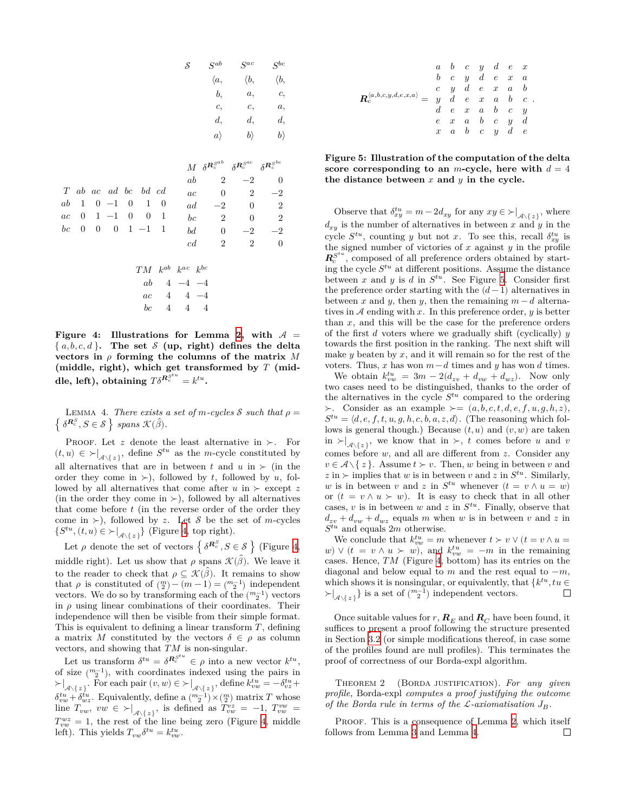|         |                  |                  |                       |                  |                   |                | S                               | $S^{ab}$                             | $S^{ac}$                             | $S^{bc}$                                       |
|---------|------------------|------------------|-----------------------|------------------|-------------------|----------------|---------------------------------|--------------------------------------|--------------------------------------|------------------------------------------------|
|         |                  |                  |                       |                  |                   |                |                                 | $\langle a,$                         | $\langle b,$                         | $\langle b,$                                   |
|         |                  |                  |                       |                  |                   |                |                                 | b,                                   | a,                                   | c,                                             |
|         |                  |                  |                       |                  |                   |                |                                 | c,                                   | c,                                   | a,                                             |
|         |                  |                  |                       |                  |                   |                |                                 | d,                                   | d,                                   | d,                                             |
|         |                  |                  |                       |                  |                   |                |                                 | $a\rangle$                           | $ b\rangle$                          | $ b\rangle$                                    |
|         |                  |                  |                       |                  |                   |                |                                 |                                      |                                      |                                                |
|         |                  |                  |                       |                  |                   |                |                                 | $M~~\delta^{\mathcal{R}_c^{S^{ab}}}$ | $\delta^{\boldsymbol{R}^{S^{ac}}_c}$ | $\delta^{{\cal{\boldsymbol{R}}}_{c}^{S^{bc}}}$ |
|         |                  |                  |                       |                  |                   |                | ab                              | $\boldsymbol{2}$                     | $-2$                                 | $\boldsymbol{0}$                               |
|         |                  |                  | $T$ ab ac ad bc bd cd |                  |                   |                | ac                              | $\boldsymbol{0}$                     | $\overline{2}$                       | $-2$                                           |
| $_{ab}$ | $\mathbf{1}$     | $\boldsymbol{0}$ | $^{-1}$               | $\boldsymbol{0}$ | 1                 | $\theta$       | ad                              | $-2$                                 | $\overline{0}$                       | $\sqrt{2}$                                     |
| ac      | $\boldsymbol{0}$ |                  | $1 -1$                | $\boldsymbol{0}$ | $\boldsymbol{0}$  | $\mathbf{1}$   | $_{bc}$                         | $\boldsymbol{2}$                     | $\boldsymbol{0}$                     | $\,2$                                          |
| $_{bc}$ | $\boldsymbol{0}$ | $\boldsymbol{0}$ | $\boldsymbol{0}$      |                  | $1 -1$            | $\mathbf{1}$   | $^{bd}$                         | $\boldsymbol{0}$                     | $-2$                                 | $-2$                                           |
|         |                  |                  |                       |                  |                   |                | c d                             | $\sqrt{2}$                           | $\overline{2}$                       | $\boldsymbol{0}$                               |
|         |                  |                  |                       |                  |                   |                |                                 |                                      |                                      |                                                |
|         |                  |                  |                       |                  |                   |                | $TM$ $k^{ab}$ $k^{ac}$ $k^{bc}$ |                                      |                                      |                                                |
|         |                  |                  |                       |                  | $\boldsymbol{ab}$ | $\overline{4}$ | $-4$                            | $-4$                                 |                                      |                                                |
|         |                  |                  |                       |                  | ac                | 4              | $4 - 4$                         |                                      |                                      |                                                |
|         |                  |                  |                       |                  | $b\boldsymbol{c}$ | $\overline{4}$ | $\,4\,$                         | $\overline{4}$                       |                                      |                                                |

<span id="page-6-1"></span>**Figure 4: Illustrations for Lemma [2](#page-5-7), with**  $A =$  ${a, b, c, d}$ . The set *S* (up, right) defines the delta vectors in  $\rho$  forming the columns of the matrix M (middle, right), which get transformed by  $T$  (mid- $\textbf{dle, left)}, \textbf{obtaining } T \delta^{\boldsymbol{R^{S^{tu}}_c}} = k^{tu}.$ 

LEMMA 4. *There exists a set of m-cycles* S such that  $\rho =$  $\{ \delta^{R_c^S}, S \in \mathcal{S} \}$  spans  $\mathcal{K}(\hat{\beta})$ .

PROOF. Let  $z$  denote the least alternative in ≻. For  $(t, u) \in \mathcal{H}_{\mathcal{A} \setminus \{z\}}$ , define  $S^{tu}$  as the *m*-cycle constituted by all alternatives that are in between  $t$  and  $u$  in  $\succ$  (in the order they come in ≻), followed by t, followed by u, followed by all alternatives that come after  $u$  in ≻ except z (in the order they come in  $\succ$ ), followed by all alternatives that come before  $t$  (in the reverse order of the order they come in ≻), followed by z. Let S be the set of m-cycles  $\{S^{tu}, (t, u) \in \succ|_{\mathcal{A} \setminus \{z\}}\}$  (Figure [4](#page-6-1), top right).

Let  $\rho$  denote the set of vectors  $\{ \delta^{R_c^S}, S \in \mathcal{S} \}$  (Figure [4](#page-6-1), middle right). Let us show that  $\rho$  spans  $\mathcal{K}(\hat{\beta})$ . We leave it to the reader to check that  $\rho \subseteq \mathcal{K}(\hat{\beta})$ . It remains to show that  $\rho$  is constituted of  $\binom{m}{2} - (m-1) = \binom{m-1}{2}$  independent vectors. We do so by transforming each of the  $\binom{m-1}{2}$  vectors in  $\rho$  using linear combinations of their coordinates. Their independence will then be visible from their simple format. This is equivalent to defining a linear transform  $T$ , defining a matrix M constituted by the vectors  $\delta \in \rho$  as column vectors, and showing that  $\overline{T}M$  is non-singular.

Let us transform  $\delta^{tu} = \delta^{R_c^{stu}} \in \rho$  into a new vector  $k^{tu}$ , of size  $\binom{m-1}{2}$ , with coordinates indexed using the pairs in  $\succ|_{\mathcal{A}\setminus\{z\}}$ . For each pair  $(v, w) \in \succ|_{\mathcal{A}\setminus\{z\}}$ , define  $k_{vw}^{tu} = -\delta_{vz}^{tu} +$  $\delta_{vw}^{tu} + \delta_{wz}^{tu}$ . Equivalently, define a  $\binom{m-1}{2} \times \binom{m}{2}$  matrix T whose line  $T_{vw}$ ,  $vw \in \mathcal{F}|_{\mathcal{A}\setminus\{z\}}$ , is defined as  $T_{vw}^{vz} = -1$ ,  $T_{vw}^{vw} =$  $T_{vw}^{wz} = 1$ , the rest of the line being zero (Figure [4](#page-6-1), middle left). This yields  $T_{vw}\delta^{tu} = k_{vw}^{tu}$ .

|                                                            |  | $a\quad b\quad c\quad y\quad d\quad e\quad x$<br>b c y d e x a<br>$c \quad y \quad d \quad e \quad x \quad a \quad b$ |  |                                                       |
|------------------------------------------------------------|--|-----------------------------------------------------------------------------------------------------------------------|--|-------------------------------------------------------|
| $\boldsymbol{R}^{\langle a,b,c,y,d,e,x,a\rangle}_c$<br>$=$ |  |                                                                                                                       |  | $y \quad d \quad e \quad x \quad a \quad b \quad c$ . |
|                                                            |  | $d \quad e \quad x \quad a \quad b \quad c \quad y$                                                                   |  |                                                       |
|                                                            |  | $e$ x a b c y d                                                                                                       |  |                                                       |
|                                                            |  | $x$ a b c y d e                                                                                                       |  |                                                       |
|                                                            |  |                                                                                                                       |  |                                                       |

<span id="page-6-2"></span>**Figure 5: Illustration of the computation of the delta score corresponding to an** *m***-cycle, here with**  $d = 4$ the distance between  $x$  and  $y$  in the cycle.

Observe that  $\delta_{xy}^{tu} = m - 2d_{xy}$  for any  $xy \in \mathcal{L}|_{\mathcal{A} \setminus \{z\}}$ , where  $d_{xy}$  is the number of alternatives in between x and y in the cycle  $S^{tu}$ , counting y but not x. To see this, recall  $\delta_{xy}^{tu}$  is the signed number of victories of  $x$  against  $y$  in the profile  $R_c^{S^{tu}}$ , composed of all preference orders obtained by starting the cycle  $S^{tu}$  at different positions. Assume the distance between x and y is d in  $S^{tu}$ . See Figure [5](#page-6-2). Consider first the preference order starting with the  $(d-1)$  alternatives in between x and y, then y, then the remaining  $m - d$  alternatives in A ending with x. In this preference order,  $y$  is better than  $x$ , and this will be the case for the preference orders of the first  $d$  voters where we gradually shift (cyclically)  $y$ towards the first position in the ranking. The next shift will make  $y$  beaten by  $x$ , and it will remain so for the rest of the voters. Thus,  $x$  has won  $m-d$  times and  $y$  has won  $d$  times.

We obtain  $k_{vw}^{tu} = 3m - 2(d_{zv} + d_{vw} + d_{wz})$ . Now only two cases need to be distinguished, thanks to the order of the alternatives in the cycle  $S^{tu}$  compared to the ordering ≻. Consider as an example  $\succ = (a, b, c, t, d, e, f, u, q, h, z)$ ,  $S^{tu} = \langle d, e, f, t, u, g, h, c, b, a, z, d \rangle$ . (The reasoning which follows is general though.) Because  $(t, u)$  and  $(v, w)$  are taken in ≻ $|_{\mathcal{A}\setminus\{z\}}$ , we know that in ≻, *t* comes before *u* and *v* comes before  $w$ , and all are different from  $z$ . Consider any  $v \in \mathcal{A} \setminus \{z\}$ . Assume  $t \succ v$ . Then, w being in between v and  $z$  in  $\succ$  implies that w is in between v and z in  $S^{tu}$ . Similarly, w is in between v and z in  $S^{tu}$  whenever  $(t = v \wedge u = w)$ or  $(t = v \wedge u \succ w)$ . It is easy to check that in all other cases,  $v$  is in between  $w$  and  $z$  in  $S^{tu}$ . Finally, observe that  $d_{zv} + d_{vw} + d_{wz}$  equals m when w is in between v and z in  $S^{tu}$  and equals 2m otherwise.

We conclude that  $k_{vw}^{tu} = m$  whenever  $t \succ v \vee (t = v \wedge u =$  $w) \vee (t = v \wedge u \succ w)$ , and  $k_{vw}^{tu} = -m$  in the remaining cases. Hence,  $TM$  (Figure [4,](#page-6-1) bottom) has its entries on the diagonal and below equal to  $m$  and the rest equal to  $-m$ , which shows it is nonsingular, or equivalently, that  $\{k^{tu}, tu \in$  $\succ|_{\mathcal{A}\setminus\{z\}}$  is a set of  $\binom{m-1}{2}$  independent vectors.  $\Box$ 

Once suitable values for r,  $\mathbf{R}_E$  and  $\mathbf{R}_C$  have been found, it suffices to present a proof following the structure presented in Section [3.2](#page-4-0) (or simple modifications thereof, in case some of the profiles found are null profiles). This terminates the proof of correctness of our Borda-expl algorithm.

<span id="page-6-0"></span>Theorem 2 (Borda justification). *For any given profile,* Borda-expl *computes a proof justifying the outcome of the Borda rule in terms of the*  $\mathcal{L}$ *-axiomatisation*  $J_B$ .

PROOF. This is a consequence of Lemma [2](#page-5-7), which itself follows from Lemma [3](#page-5-8) and Lemma [4.](#page-5-9) $\Box$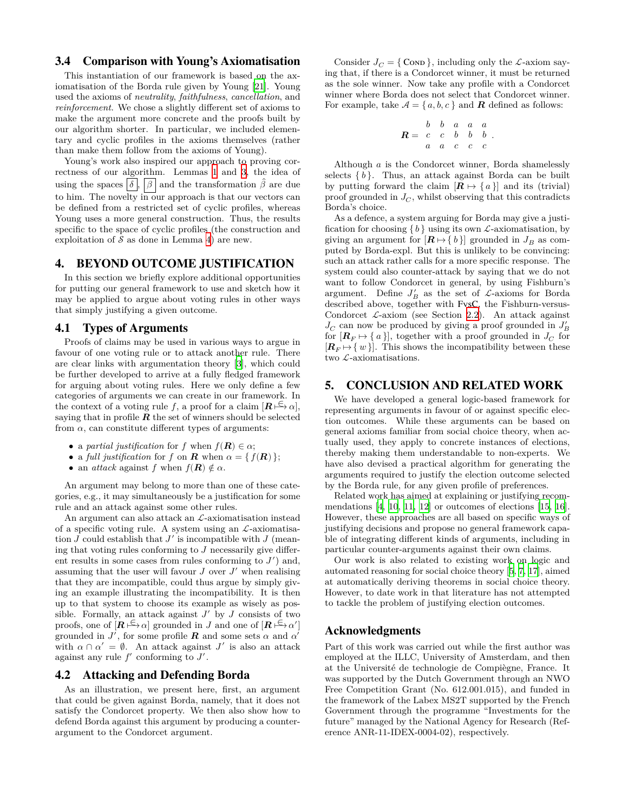## <span id="page-7-2"></span>3.4 Comparison with Young's Axiomatisation

This instantiation of our framework is based on the axiomatisation of the Borda rule given by Young [\[21\]](#page-8-4). Young used the axioms of *neutrality*, *faithfulness*, *cancellation*, and *reinforcement*. We chose a slightly different set of axioms to make the argument more concrete and the proofs built by our algorithm shorter. In particular, we included elementary and cyclic profiles in the axioms themselves (rather than make them follow from the axioms of Young).

Young's work also inspired our approach to proving correctness of our algorithm. Lemmas [1](#page-5-10) and [3](#page-5-8), the idea of using the spaces  $\boxed{\delta}$ ,  $\boxed{\beta}$  and the transformation  $\hat{\beta}$  are due to him. The novelty in our approach is that our vectors can be defined from a restricted set of cyclic profiles, whereas Young uses a more general construction. Thus, the results specific to the space of cyclic profiles (the construction and exploitation of  $S$  as done in Lemma [4\)](#page-5-9) are new.

# <span id="page-7-0"></span>4. BEYOND OUTCOME JUSTIFICATION

In this section we briefly explore additional opportunities for putting our general framework to use and sketch how it may be applied to argue about voting rules in other ways that simply justifying a given outcome.

#### 4.1 Types of Arguments

Proofs of claims may be used in various ways to argue in favour of one voting rule or to attack another rule. There are clear links with argumentation theory [[3](#page-8-11)], which could be further developed to arrive at a fully fledged framework for arguing about voting rules. Here we only define a few categories of arguments we can create in our framework. In the context of a voting rule f, a proof for a claim  $[\mathbf{R} \models \alpha],$ saying that in profile  $R$  the set of winners should be selected from  $\alpha$ , can constitute different types of arguments:

- a *partial justification* for f when  $f(\mathbf{R}) \in \alpha$ ;
- a *full justification* for f on **R** when  $\alpha = \{ f(R) \};$
- an *attack* against f when  $f(\mathbf{R}) \notin \alpha$ .

An argument may belong to more than one of these categories, e.g., it may simultaneously be a justification for some rule and an attack against some other rules.

An argument can also attack an  $\mathcal{L}\text{-axiom}$  attack and  $\mathcal{L}\text{-}$ of a specific voting rule. A system using an  $\mathcal{L}$ -axiomatisation  $J$  could establish that  $J'$  is incompatible with  $J$  (meaning that voting rules conforming to  $J$  necessarily give different results in some cases from rules conforming to  $J'$  and, assuming that the user will favour  $J$  over  $J'$  when realising that they are incompatible, could thus argue by simply giving an example illustrating the incompatibility. It is then up to that system to choose its example as wisely as possible. Formally, an attack against  $J'$  by  $J$  consists of two proofs, one of  $[\mathbf{R} \models \alpha]$  grounded in J and one of  $[\mathbf{R} \models \alpha']$ grounded in  $J'$ , for some profile **R** and some sets  $\alpha$  and  $\alpha'$ with  $\alpha \cap \alpha' = \emptyset$ . An attack against J' is also an attack against any rule  $f'$  conforming to  $J'$ .

#### 4.2 Attacking and Defending Borda

As an illustration, we present here, first, an argument that could be given against Borda, namely, that it does not satisfy the Condorcet property. We then also show how to defend Borda against this argument by producing a counterargument to the Condorcet argument.

Consider  $J_C = \{ \text{Comp } \}$ , including only the *L*-axiom saying that, if there is a Condorcet winner, it must be returned as the sole winner. Now take any profile with a Condorcet winner where Borda does not select that Condorcet winner. For example, take  $A = \{a, b, c\}$  and **R** defined as follows:

$$
R = \begin{array}{ccccccccc} & b & b & a & a & a \\ c & c & b & b & b \\ a & a & c & c & c \end{array}.
$$

Although  $a$  is the Condorcet winner, Borda shamelessly selects  $\{b\}$ . Thus, an attack against Borda can be built by putting forward the claim  $[ R \mapsto \{ a \}]$  and its (trivial) proof grounded in  $J_C$ , whilst observing that this contradicts Borda's choice.

As a defence, a system arguing for Borda may give a justification for choosing  $\{b\}$  using its own *L*-axiomatisation, by giving an argument for  $[\mathbf{R} \mapsto \{b\}]$  grounded in  $J_B$  as computed by Borda-expl. But this is unlikely to be convincing: such an attack rather calls for a more specific response. The system could also counter-attack by saying that we do not want to follow Condorcet in general, by using Fishburn's argument. Define  $J'_B$  as the set of  $\mathcal{L}\text{-axioms}$  for Borda described above, together with FvsC, the Fishburn-versus-Condorcet  $\mathcal{L}$ -axiom (see Section [2.2\)](#page-2-0). An attack against  $J_C$  can now be produced by giving a proof grounded in  $J_B^\prime$ for  $[{\bf R}_F \mapsto \{a\}]$ , together with a proof grounded in  $J_C$  for  $[{\bf R}_F \mapsto \{w\}]$ . This shows the incompatibility between these two  $\mathcal{L}$ -axiomatisations.

#### <span id="page-7-1"></span>5. CONCLUSION AND RELATED WORK

We have developed a general logic-based framework for representing arguments in favour of or against specific election outcomes. While these arguments can be based on general axioms familiar from social choice theory, when actually used, they apply to concrete instances of elections, thereby making them understandable to non-experts. We have also devised a practical algorithm for generating the arguments required to justify the election outcome selected by the Borda rule, for any given profile of preferences.

Related work has aimed at explaining or justifying recommendations  $[4, 10, 11, 12]$  $[4, 10, 11, 12]$  $[4, 10, 11, 12]$  $[4, 10, 11, 12]$  $[4, 10, 11, 12]$  $[4, 10, 11, 12]$  $[4, 10, 11, 12]$  $[4, 10, 11, 12]$  $[4, 10, 11, 12]$  or outcomes of elections  $[15, 16]$  $[15, 16]$  $[15, 16]$  $[15, 16]$ . However, these approaches are all based on specific ways of justifying decisions and propose no general framework capable of integrating different kinds of arguments, including in particular counter-arguments against their own claims.

Our work is also related to existing work on logic and automated reasoning for social choice theory [[5](#page-8-18), [7,](#page-8-19) [17](#page-8-20)], aimed at automatically deriving theorems in social choice theory. However, to date work in that literature has not attempted to tackle the problem of justifying election outcomes.

## Acknowledgments

Part of this work was carried out while the first author was employed at the ILLC, University of Amsterdam, and then at the Université de technologie de Compiègne, France. It was supported by the Dutch Government through an NWO Free Competition Grant (No. 612.001.015), and funded in the framework of the Labex MS2T supported by the French Government through the programme "Investments for the future" managed by the National Agency for Research (Reference ANR-11-IDEX-0004-02), respectively.